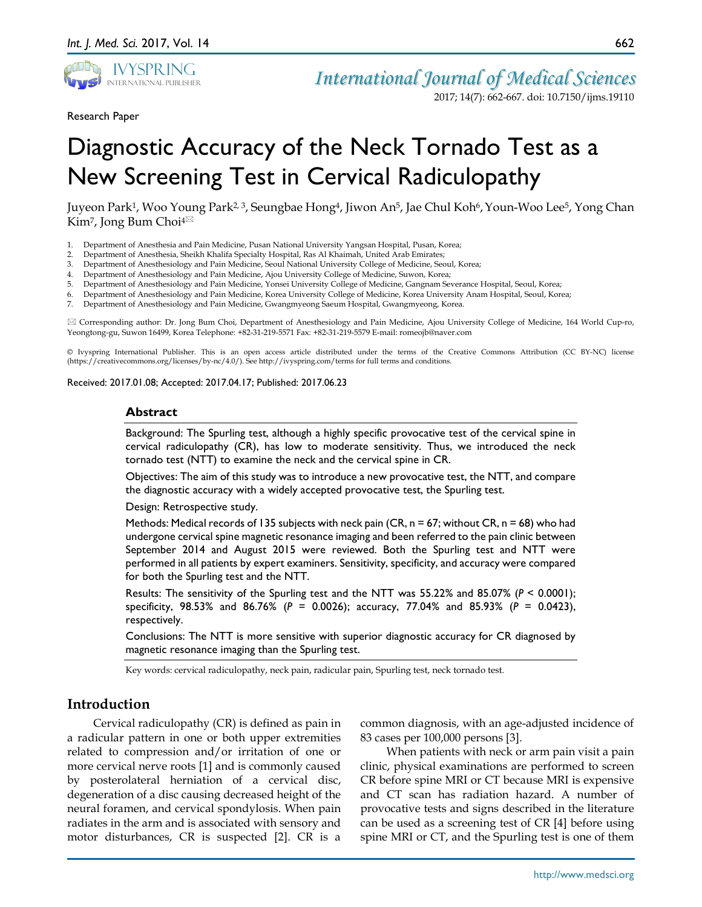

*International Journal of Medical Sciences*

Research Paper

2017; 14(7): 662-667. doi: 10.7150/ijms.19110

# Diagnostic Accuracy of the Neck Tornado Test as a New Screening Test in Cervical Radiculopathy

Juyeon Park<sup>1</sup>, Woo Young Park<sup>2, 3</sup>, Seungbae Hong<sup>4</sup>, Jiwon An<sup>5</sup>, Jae Chul Koh<sup>6</sup>, Youn-Woo Lee<sup>5</sup>, Yong Chan Kim<sup>7</sup>, Jong Bum Choi<sup>4 $\boxtimes$ </sup>

- 1. Department of Anesthesia and Pain Medicine, Pusan National University Yangsan Hospital, Pusan, Korea;
- 2. Department of Anesthesia, Sheikh Khalifa Specialty Hospital, Ras Al Khaimah, United Arab Emirates;
- 3. Department of Anesthesiology and Pain Medicine, Seoul National University College of Medicine, Seoul, Korea;
- 4. Department of Anesthesiology and Pain Medicine, Ajou University College of Medicine, Suwon, Korea;
- 5. Department of Anesthesiology and Pain Medicine, Yonsei University College of Medicine, Gangnam Severance Hospital, Seoul, Korea;
- 6. Department of Anesthesiology and Pain Medicine, Korea University College of Medicine, Korea University Anam Hospital, Seoul, Korea;
- 7. Department of Anesthesiology and Pain Medicine, Gwangmyeong Saeum Hospital, Gwangmyeong, Korea.

 Corresponding author: Dr. Jong Bum Choi, Department of Anesthesiology and Pain Medicine, Ajou University College of Medicine, 164 World Cup-ro, Yeongtong-gu, Suwon 16499, Korea Telephone: +82-31-219-5571 Fax: +82-31-219-5579 E-mail: romeojb@naver.com

© Ivyspring International Publisher. This is an open access article distributed under the terms of the Creative Commons Attribution (CC BY-NC) license (https://creativecommons.org/licenses/by-nc/4.0/). See http://ivyspring.com/terms for full terms and conditions.

Received: 2017.01.08; Accepted: 2017.04.17; Published: 2017.06.23

#### **Abstract**

Background: The Spurling test, although a highly specific provocative test of the cervical spine in cervical radiculopathy (CR), has low to moderate sensitivity. Thus, we introduced the neck tornado test (NTT) to examine the neck and the cervical spine in CR.

Objectives: The aim of this study was to introduce a new provocative test, the NTT, and compare the diagnostic accuracy with a widely accepted provocative test, the Spurling test.

Design: Retrospective study.

Methods: Medical records of 135 subjects with neck pain (CR,  $n = 67$ ; without CR,  $n = 68$ ) who had undergone cervical spine magnetic resonance imaging and been referred to the pain clinic between September 2014 and August 2015 were reviewed. Both the Spurling test and NTT were performed in all patients by expert examiners. Sensitivity, specificity, and accuracy were compared for both the Spurling test and the NTT.

Results: The sensitivity of the Spurling test and the NTT was 55.22% and 85.07% (*P* < 0.0001); specificity, 98.53% and 86.76% (*P* = 0.0026); accuracy, 77.04% and 85.93% (*P* = 0.0423), respectively.

Conclusions: The NTT is more sensitive with superior diagnostic accuracy for CR diagnosed by magnetic resonance imaging than the Spurling test.

Key words: cervical radiculopathy, neck pain, radicular pain, Spurling test, neck tornado test.

## **Introduction**

Cervical radiculopathy (CR) is defined as pain in a radicular pattern in one or both upper extremities related to compression and/or irritation of one or more cervical nerve roots [1] and is commonly caused by posterolateral herniation of a cervical disc, degeneration of a disc causing decreased height of the neural foramen, and cervical spondylosis. When pain radiates in the arm and is associated with sensory and motor disturbances, CR is suspected [2]. CR is a

common diagnosis, with an age-adjusted incidence of 83 cases per 100,000 persons [3].

When patients with neck or arm pain visit a pain clinic, physical examinations are performed to screen CR before spine MRI or CT because MRI is expensive and CT scan has radiation hazard. A number of provocative tests and signs described in the literature can be used as a screening test of CR [4] before using spine MRI or CT, and the Spurling test is one of them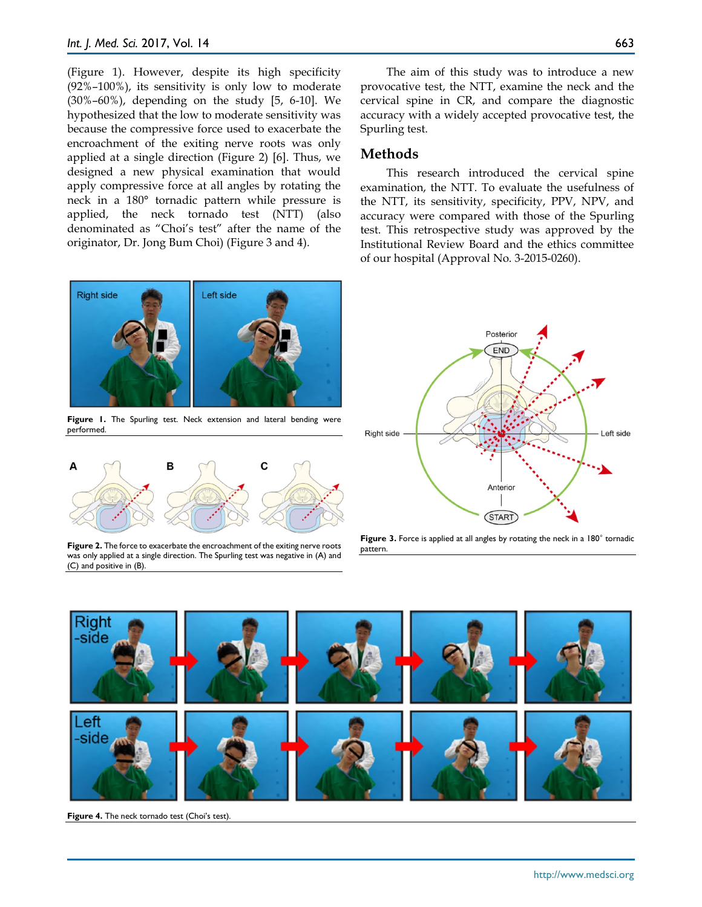(Figure 1). However, despite its high specificity (92%–100%), its sensitivity is only low to moderate (30%–60%), depending on the study [5, 6-10]. We hypothesized that the low to moderate sensitivity was because the compressive force used to exacerbate the encroachment of the exiting nerve roots was only applied at a single direction (Figure 2) [6]. Thus, we designed a new physical examination that would apply compressive force at all angles by rotating the neck in a 180° tornadic pattern while pressure is applied, the neck tornado test (NTT) (also denominated as "Choi's test" after the name of the originator, Dr. Jong Bum Choi) (Figure 3 and 4).



Figure 1. The Spurling test. Neck extension and lateral bending were performed.



**Figure 2.** The force to exacerbate the encroachment of the exiting nerve roots was only applied at a single direction. The Spurling test was negative in (A) and (C) and positive in (B).

The aim of this study was to introduce a new provocative test, the NTT, examine the neck and the cervical spine in CR, and compare the diagnostic accuracy with a widely accepted provocative test, the Spurling test.

# **Methods**

This research introduced the cervical spine examination, the NTT. To evaluate the usefulness of the NTT, its sensitivity, specificity, PPV, NPV, and accuracy were compared with those of the Spurling test. This retrospective study was approved by the Institutional Review Board and the ethics committee of our hospital (Approval No. 3-2015-0260).



Figure 3. Force is applied at all angles by rotating the neck in a 180° tornadic pattern.



Figure 4. The neck tornado test (Choi's test).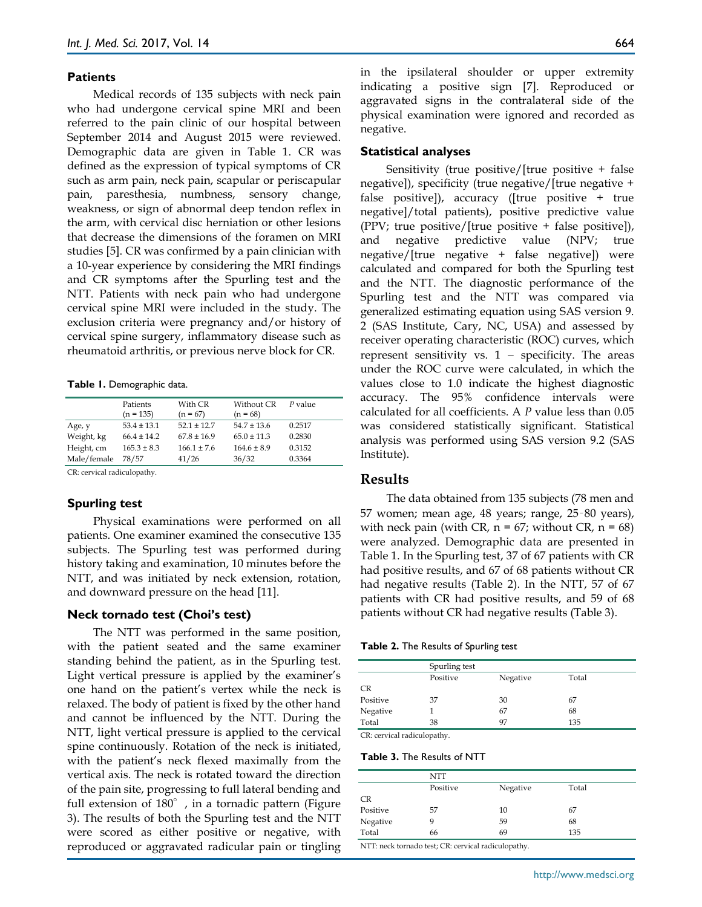#### **Patients**

Medical records of 135 subjects with neck pain who had undergone cervical spine MRI and been referred to the pain clinic of our hospital between September 2014 and August 2015 were reviewed. Demographic data are given in Table 1. CR was defined as the expression of typical symptoms of CR such as arm pain, neck pain, scapular or periscapular pain, paresthesia, numbness, sensory change, weakness, or sign of abnormal deep tendon reflex in the arm, with cervical disc herniation or other lesions that decrease the dimensions of the foramen on MRI studies [5]. CR was confirmed by a pain clinician with a 10-year experience by considering the MRI findings and CR symptoms after the Spurling test and the NTT. Patients with neck pain who had undergone cervical spine MRI were included in the study. The exclusion criteria were pregnancy and/or history of cervical spine surgery, inflammatory disease such as rheumatoid arthritis, or previous nerve block for CR.

#### **Table 1.** Demographic data.

|             | Patients        | With CR         | Without CR      | $P$ value |
|-------------|-----------------|-----------------|-----------------|-----------|
|             | $(n = 135)$     | $(n = 67)$      | $(n = 68)$      |           |
| Age, y      | $53.4 \pm 13.1$ | $52.1 \pm 12.7$ | $54.7 \pm 13.6$ | 0.2517    |
| Weight, kg  | $66.4 \pm 14.2$ | $67.8 \pm 16.9$ | $65.0 \pm 11.3$ | 0.2830    |
| Height, cm  | $165.3 \pm 8.3$ | $166.1 \pm 7.6$ | $164.6 \pm 8.9$ | 0.3152    |
| Male/female | 78/57           | 41/26           | 36/32           | 0.3364    |
|             |                 |                 |                 |           |

CR: cervical radiculopathy.

## **Spurling test**

Physical examinations were performed on all patients. One examiner examined the consecutive 135 subjects. The Spurling test was performed during history taking and examination, 10 minutes before the NTT, and was initiated by neck extension, rotation, and downward pressure on the head [11].

#### **Neck tornado test (Choi's test)**

The NTT was performed in the same position, with the patient seated and the same examiner standing behind the patient, as in the Spurling test. Light vertical pressure is applied by the examiner's one hand on the patient's vertex while the neck is relaxed. The body of patient is fixed by the other hand and cannot be influenced by the NTT. During the NTT, light vertical pressure is applied to the cervical spine continuously. Rotation of the neck is initiated, with the patient's neck flexed maximally from the vertical axis. The neck is rotated toward the direction of the pain site, progressing to full lateral bending and full extension of 180°, in a tornadic pattern (Figure 3). The results of both the Spurling test and the NTT were scored as either positive or negative, with reproduced or aggravated radicular pain or tingling

in the ipsilateral shoulder or upper extremity indicating a positive sign [7]. Reproduced or aggravated signs in the contralateral side of the physical examination were ignored and recorded as negative.

#### **Statistical analyses**

Sensitivity (true positive/[true positive + false negative]), specificity (true negative/[true negative + false positive]), accuracy ([true positive + true negative]/total patients), positive predictive value (PPV; true positive/[true positive + false positive]), and negative predictive value (NPV; true negative/[true negative + false negative]) were calculated and compared for both the Spurling test and the NTT. The diagnostic performance of the Spurling test and the NTT was compared via generalized estimating equation using SAS version 9. 2 (SAS Institute, Cary, NC, USA) and assessed by receiver operating characteristic (ROC) curves, which represent sensitivity vs.  $1 -$  specificity. The areas under the ROC curve were calculated, in which the values close to 1.0 indicate the highest diagnostic accuracy. The 95% confidence intervals were calculated for all coefficients. A *P* value less than 0.05 was considered statistically significant. Statistical analysis was performed using SAS version 9.2 (SAS Institute).

## **Results**

The data obtained from 135 subjects (78 men and 57 women; mean age, 48 years; range, 25–80 years), with neck pain (with CR,  $n = 67$ ; without CR,  $n = 68$ ) were analyzed. Demographic data are presented in Table 1. In the Spurling test, 37 of 67 patients with CR had positive results, and 67 of 68 patients without CR had negative results (Table 2). In the NTT, 57 of 67 patients with CR had positive results, and 59 of 68 patients without CR had negative results (Table 3).

| Table 2. The Results of Spurling test |  |
|---------------------------------------|--|
|---------------------------------------|--|

|                                     | Spurling test |          |       |  |
|-------------------------------------|---------------|----------|-------|--|
|                                     | Positive      | Negative | Total |  |
| <b>CR</b>                           |               |          |       |  |
| Positive                            | 37            | 30       | 67    |  |
| Negative                            |               | 67       | 68    |  |
| Total                               | 38            | 97       | 135   |  |
| the contract of the contract of the | .             |          |       |  |

CR: cervical radiculopathy.

**Table 3.** The Results of NTT

|                                            | NTT                                                                    |          |       |  |
|--------------------------------------------|------------------------------------------------------------------------|----------|-------|--|
|                                            | Positive                                                               | Negative | Total |  |
| <b>CR</b>                                  |                                                                        |          |       |  |
| Positive                                   | 57                                                                     | 10       | 67    |  |
| Negative                                   | 9                                                                      | 59       | 68    |  |
| Total                                      | 66                                                                     | 69       | 135   |  |
| <b>Contract Contract Contract Contract</b> | <b>Contract Contract Contract Contract</b><br>the property of the con- | .        |       |  |

NTT: neck tornado test; CR: cervical radiculopathy.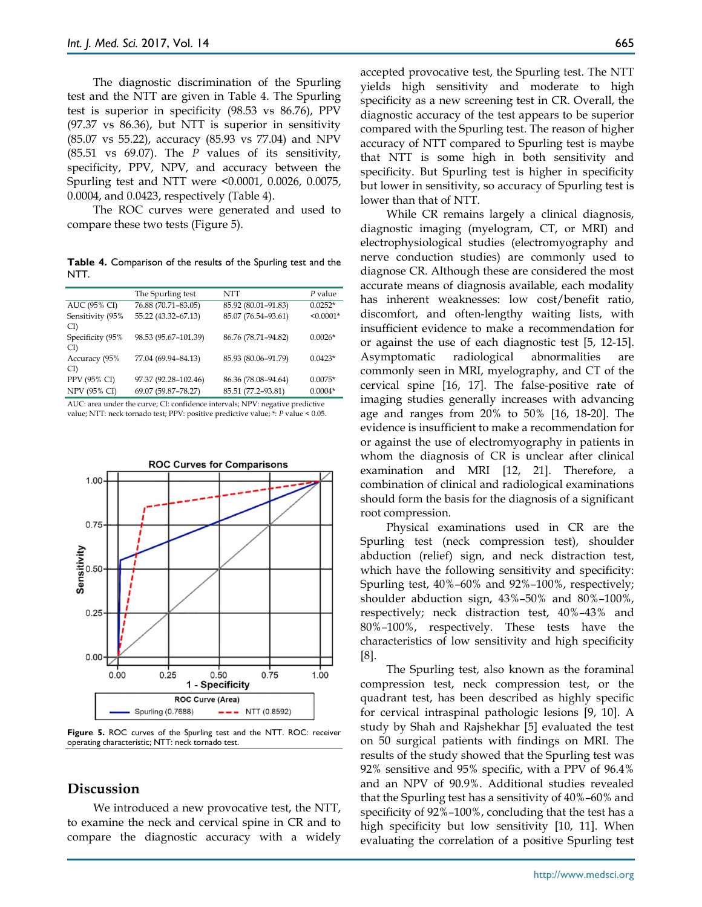The diagnostic discrimination of the Spurling test and the NTT are given in Table 4. The Spurling test is superior in specificity (98.53 vs 86.76), PPV (97.37 vs 86.36), but NTT is superior in sensitivity (85.07 vs 55.22), accuracy (85.93 vs 77.04) and NPV (85.51 vs 69.07). The *P* values of its sensitivity, specificity, PPV, NPV, and accuracy between the Spurling test and NTT were <0.0001, 0.0026, 0.0075, 0.0004, and 0.0423, respectively (Table 4).

The ROC curves were generated and used to compare these two tests (Figure 5).

**Table 4.** Comparison of the results of the Spurling test and the NTT.

|                         | The Spurling test    | NTT                 | P value     |
|-------------------------|----------------------|---------------------|-------------|
| AUC (95% CI)            | 76.88 (70.71-83.05)  | 85.92 (80.01-91.83) | $0.0252*$   |
| Sensitivity (95%<br>CI) | 55.22 (43.32-67.13)  | 85.07 (76.54-93.61) | $< 0.0001*$ |
| Specificity (95%<br>CI) | 98.53 (95.67-101.39) | 86.76 (78.71-94.82) | $0.0026*$   |
| Accuracy (95%<br>CI)    | 77.04 (69.94-84.13)  | 85.93 (80.06-91.79) | $0.0423*$   |
| PPV (95% CI)            | 97.37 (92.28-102.46) | 86.36 (78.08-94.64) | $0.0075*$   |
| NPV (95% CI)            | 69.07 (59.87-78.27)  | 85.51 (77.2-93.81)  | $0.0004*$   |

AUC: area under the curve; CI: confidence intervals; NPV: negative predictive value; NTT: neck tornado test; PPV: positive predictive value; \*: *P* value < 0.05.



**Figure 5.** ROC curves of the Spurling test and the NTT. ROC: receiver operating characteristic; NTT: neck tornado test.

# **Discussion**

We introduced a new provocative test, the NTT, to examine the neck and cervical spine in CR and to compare the diagnostic accuracy with a widely accepted provocative test, the Spurling test. The NTT yields high sensitivity and moderate to high specificity as a new screening test in CR. Overall, the diagnostic accuracy of the test appears to be superior compared with the Spurling test. The reason of higher accuracy of NTT compared to Spurling test is maybe that NTT is some high in both sensitivity and specificity. But Spurling test is higher in specificity but lower in sensitivity, so accuracy of Spurling test is lower than that of NTT.

While CR remains largely a clinical diagnosis, diagnostic imaging (myelogram, CT, or MRI) and electrophysiological studies (electromyography and nerve conduction studies) are commonly used to diagnose CR. Although these are considered the most accurate means of diagnosis available, each modality has inherent weaknesses: low cost/benefit ratio, discomfort, and often-lengthy waiting lists, with insufficient evidence to make a recommendation for or against the use of each diagnostic test [5, 12-15]. Asymptomatic radiological abnormalities are commonly seen in MRI, myelography, and CT of the cervical spine [16, 17]. The false-positive rate of imaging studies generally increases with advancing age and ranges from 20% to 50% [16, 18-20]. The evidence is insufficient to make a recommendation for or against the use of electromyography in patients in whom the diagnosis of CR is unclear after clinical examination and MRI [12, 21]. Therefore, a combination of clinical and radiological examinations should form the basis for the diagnosis of a significant root compression.

Physical examinations used in CR are the Spurling test (neck compression test), shoulder abduction (relief) sign, and neck distraction test, which have the following sensitivity and specificity: Spurling test, 40%–60% and 92%–100%, respectively; shoulder abduction sign, 43%–50% and 80%–100%, respectively; neck distraction test, 40%–43% and 80%–100%, respectively. These tests have the characteristics of low sensitivity and high specificity [8].

The Spurling test, also known as the foraminal compression test, neck compression test, or the quadrant test, has been described as highly specific for cervical intraspinal pathologic lesions [9, 10]. A study by Shah and Rajshekhar [5] evaluated the test on 50 surgical patients with findings on MRI. The results of the study showed that the Spurling test was 92% sensitive and 95% specific, with a PPV of 96.4% and an NPV of 90.9%. Additional studies revealed that the Spurling test has a sensitivity of 40%–60% and specificity of 92%–100%, concluding that the test has a high specificity but low sensitivity [10, 11]. When evaluating the correlation of a positive Spurling test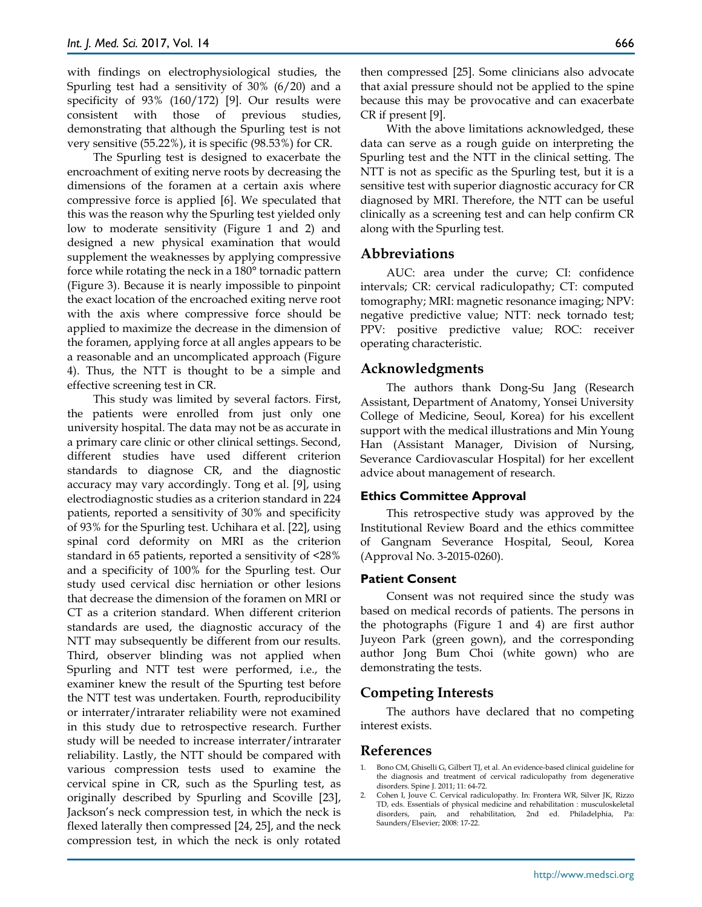with findings on electrophysiological studies, the Spurling test had a sensitivity of 30% (6/20) and a specificity of 93% (160/172) [9]. Our results were consistent with those of previous studies, demonstrating that although the Spurling test is not very sensitive (55.22%), it is specific (98.53%) for CR.

The Spurling test is designed to exacerbate the encroachment of exiting nerve roots by decreasing the dimensions of the foramen at a certain axis where compressive force is applied [6]. We speculated that this was the reason why the Spurling test yielded only low to moderate sensitivity (Figure 1 and 2) and designed a new physical examination that would supplement the weaknesses by applying compressive force while rotating the neck in a 180° tornadic pattern (Figure 3). Because it is nearly impossible to pinpoint the exact location of the encroached exiting nerve root with the axis where compressive force should be applied to maximize the decrease in the dimension of the foramen, applying force at all angles appears to be a reasonable and an uncomplicated approach (Figure 4). Thus, the NTT is thought to be a simple and effective screening test in CR.

This study was limited by several factors. First, the patients were enrolled from just only one university hospital. The data may not be as accurate in a primary care clinic or other clinical settings. Second, different studies have used different criterion standards to diagnose CR, and the diagnostic accuracy may vary accordingly. Tong et al. [9], using electrodiagnostic studies as a criterion standard in 224 patients, reported a sensitivity of 30% and specificity of 93% for the Spurling test. Uchihara et al. [22], using spinal cord deformity on MRI as the criterion standard in 65 patients, reported a sensitivity of <28% and a specificity of 100% for the Spurling test. Our study used cervical disc herniation or other lesions that decrease the dimension of the foramen on MRI or CT as a criterion standard. When different criterion standards are used, the diagnostic accuracy of the NTT may subsequently be different from our results. Third, observer blinding was not applied when Spurling and NTT test were performed, i.e., the examiner knew the result of the Spurting test before the NTT test was undertaken. Fourth, reproducibility or interrater/intrarater reliability were not examined in this study due to retrospective research. Further study will be needed to increase interrater/intrarater reliability. Lastly, the NTT should be compared with various compression tests used to examine the cervical spine in CR, such as the Spurling test, as originally described by Spurling and Scoville [23], Jackson's neck compression test, in which the neck is flexed laterally then compressed [24, 25], and the neck compression test, in which the neck is only rotated

then compressed [25]. Some clinicians also advocate that axial pressure should not be applied to the spine because this may be provocative and can exacerbate CR if present [9].

With the above limitations acknowledged, these data can serve as a rough guide on interpreting the Spurling test and the NTT in the clinical setting. The NTT is not as specific as the Spurling test, but it is a sensitive test with superior diagnostic accuracy for CR diagnosed by MRI. Therefore, the NTT can be useful clinically as a screening test and can help confirm CR along with the Spurling test.

# **Abbreviations**

AUC: area under the curve; CI: confidence intervals; CR: cervical radiculopathy; CT: computed tomography; MRI: magnetic resonance imaging; NPV: negative predictive value; NTT: neck tornado test; PPV: positive predictive value; ROC: receiver operating characteristic.

# **Acknowledgments**

The authors thank Dong-Su Jang (Research Assistant, Department of Anatomy, Yonsei University College of Medicine, Seoul, Korea) for his excellent support with the medical illustrations and Min Young Han (Assistant Manager, Division of Nursing, Severance Cardiovascular Hospital) for her excellent advice about management of research.

## **Ethics Committee Approval**

This retrospective study was approved by the Institutional Review Board and the ethics committee of Gangnam Severance Hospital, Seoul, Korea (Approval No. 3-2015-0260).

## **Patient Consent**

Consent was not required since the study was based on medical records of patients. The persons in the photographs (Figure 1 and 4) are first author Juyeon Park (green gown), and the corresponding author Jong Bum Choi (white gown) who are demonstrating the tests.

# **Competing Interests**

The authors have declared that no competing interest exists.

# **References**

- 1. Bono CM, Ghiselli G, Gilbert TJ, et al. An evidence-based clinical guideline for the diagnosis and treatment of cervical radiculopathy from degenerative disorders. Spine J. 2011; 11: 64-72.
- 2. Cohen I, Jouve C. Cervical radiculopathy. In: Frontera WR, Silver JK, Rizzo TD, eds. Essentials of physical medicine and rehabilitation : musculoskeletal disorders, pain, and rehabilitation, 2nd ed. Philadelphia, Pa: Saunders/Elsevier; 2008: 17-22.